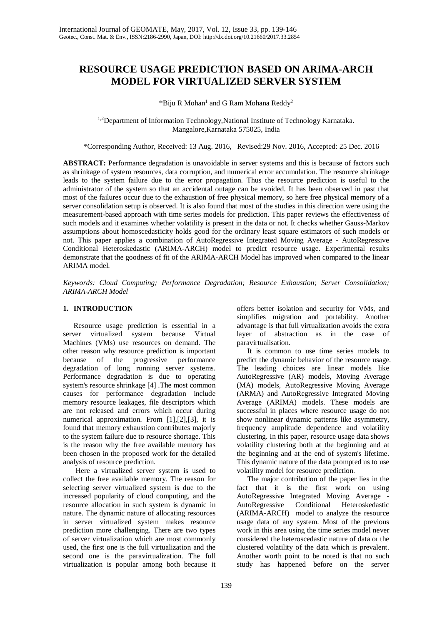# **RESOURCE USAGE PREDICTION BASED ON ARIMA-ARCH MODEL FOR VIRTUALIZED SERVER SYSTEM**

\*Biju R Mohan<sup>1</sup> and G Ram Mohana Reddy<sup>2</sup>

<sup>1,2</sup>Department of Information Technology, National Institute of Technology Karnataka. Mangalore,Karnataka 575025, India

\*Corresponding Author, Received: 13 Aug. 2016, Revised:29 Nov. 2016, Accepted: 25 Dec. 2016

**ABSTRACT:** Performance degradation is unavoidable in server systems and this is because of factors such as shrinkage of system resources, data corruption, and numerical error accumulation. The resource shrinkage leads to the system failure due to the error propagation. Thus the resource prediction is useful to the administrator of the system so that an accidental outage can be avoided. It has been observed in past that most of the failures occur due to the exhaustion of free physical memory, so here free physical memory of a server consolidation setup is observed. It is also found that most of the studies in this direction were using the measurement-based approach with time series models for prediction. This paper reviews the effectiveness of such models and it examines whether volatility is present in the data or not. It checks whether Gauss-Markov assumptions about homoscedasticity holds good for the ordinary least square estimators of such models or not. This paper applies a combination of AutoRegressive Integrated Moving Average - AutoRegressive Conditional Heteroskedastic (ARIMA-ARCH) model to predict resource usage. Experimental results demonstrate that the goodness of fit of the ARIMA-ARCH Model has improved when compared to the linear ARIMA model.

*Keywords: Cloud Computing; Performance Degradation; Resource Exhaustion; Server Consolidation; ARIMA-ARCH Model* 

### **1. INTRODUCTION**

Resource usage prediction is essential in a server virtualized system because Virtual Machines (VMs) use resources on demand. The other reason why resource prediction is important because of the progressive performance degradation of long running server systems. Performance degradation is due to operating system's resource shrinkage [4] .The most common causes for performance degradation include memory resource leakages, file descriptors which are not released and errors which occur during numerical approximation. From [1],[2],[3], it is found that memory exhaustion contributes majorly to the system failure due to resource shortage. This is the reason why the free available memory has been chosen in the proposed work for the detailed analysis of resource prediction.

Here a virtualized server system is used to collect the free available memory. The reason for selecting server virtualized system is due to the increased popularity of cloud computing, and the resource allocation in such system is dynamic in nature. The dynamic nature of allocating resources in server virtualized system makes resource prediction more challenging. There are two types of server virtualization which are most commonly used, the first one is the full virtualization and the second one is the paravirtualization. The full virtualization is popular among both because it offers better isolation and security for VMs, and simplifies migration and portability. Another advantage is that full virtualization avoids the extra layer of abstraction as in the case of paravirtualisation.

It is common to use time series models to predict the dynamic behavior of the resource usage. The leading choices are linear models like AutoRegressive (AR) models, Moving Average (MA) models, AutoRegressive Moving Average (ARMA) and AutoRegressive Integrated Moving Average (ARIMA) models. These models are successful in places where resource usage do not show nonlinear dynamic patterns like asymmetry, frequency amplitude dependence and volatility clustering. In this paper, resource usage data shows volatility clustering both at the beginning and at the beginning and at the end of system's lifetime. This dynamic nature of the data prompted us to use volatility model for resource prediction.

The major contribution of the paper lies in the fact that it is the first work on using AutoRegressive Integrated Moving Average - AutoRegressive Conditional Heteroskedastic (ARIMA-ARCH) model to analyze the resource usage data of any system. Most of the previous work in this area using the time series model never considered the heteroscedastic nature of data or the clustered volatility of the data which is prevalent. Another worth point to be noted is that no such study has happened before on the server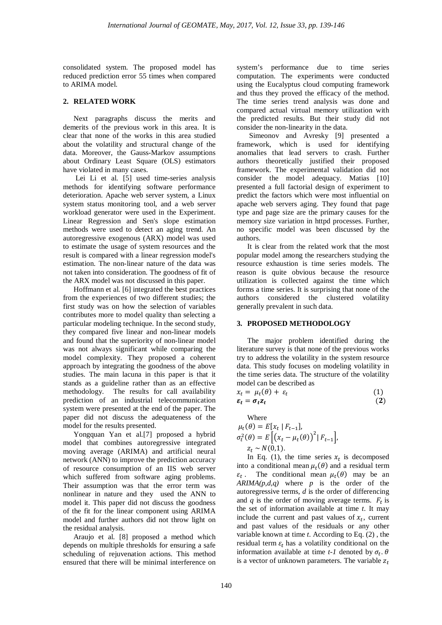consolidated system. The proposed model has reduced prediction error 55 times when compared to ARIMA model.

### **2. RELATED WORK**

Next paragraphs discuss the merits and demerits of the previous work in this area. It is clear that none of the works in this area studied about the volatility and structural change of the data. Moreover, the Gauss-Markov assumptions about Ordinary Least Square (OLS) estimators have violated in many cases.

Lei Li et al. [5] used time-series analysis methods for identifying software performance deterioration. Apache web server system, a Linux system status monitoring tool, and a web server workload generator were used in the Experiment. Linear Regression and Sen's slope estimation methods were used to detect an aging trend. An autoregressive exogenous (ARX) model was used to estimate the usage of system resources and the result is compared with a linear regression model's estimation. The non-linear nature of the data was not taken into consideration. The goodness of fit of the ARX model was not discussed in this paper.

Hoffmann et al. [6] integrated the best practices from the experiences of two different studies; the first study was on how the selection of variables contributes more to model quality than selecting a particular modeling technique. In the second study, they compared five linear and non-linear models and found that the superiority of non-linear model was not always significant while comparing the model complexity. They proposed a coherent approach by integrating the goodness of the above studies. The main lacuna in this paper is that it stands as a guideline rather than as an effective methodology. The results for call availability prediction of an industrial telecommunication system were presented at the end of the paper. The paper did not discuss the adequateness of the model for the results presented.

Yongquan Yan et al.[7] proposed a hybrid model that combines autoregressive integrated moving average (ARIMA) and artificial neural network (ANN) to improve the prediction accuracy of resource consumption of an IIS web server which suffered from software aging problems. Their assumption was that the error term was nonlinear in nature and they used the ANN to model it. This paper did not discuss the goodness of the fit for the linear component using ARIMA model and further authors did not throw light on the residual analysis.

Araujo et al. [8] proposed a method which depends on multiple thresholds for ensuring a safe scheduling of rejuvenation actions. This method ensured that there will be minimal interference on

system's performance due to time series computation. The experiments were conducted using the Eucalyptus cloud computing framework and thus they proved the efficacy of the method. The time series trend analysis was done and compared actual virtual memory utilization with the predicted results. But their study did not consider the non-linearity in the data.

Simeonov and Avresky [9] presented a framework, which is used for identifying anomalies that lead servers to crash. Further authors theoretically justified their proposed framework. The experimental validation did not consider the model adequacy. Matias [10] presented a full factorial design of experiment to predict the factors which were most influential on apache web servers aging. They found that page type and page size are the primary causes for the memory size variation in httpd processes. Further, no specific model was been discussed by the authors.

It is clear from the related work that the most popular model among the researchers studying the resource exhaustion is time series models. The reason is quite obvious because the resource utilization is collected against the time which forms a time series. It is surprising that none of the authors considered the clustered volatility generally prevalent in such data.

## **3. PROPOSED METHODOLOGY**

The major problem identified during the literature survey is that none of the previous works try to address the volatility in the system resource data. This study focuses on modeling volatility in the time series data. The structure of the volatility model can be described as

$$
x_t = \mu_t(\theta) + \varepsilon_t
$$
  
\n
$$
\varepsilon_t = \sigma_t z_t
$$
 (1)  
\n(2)

Where  
\n
$$
\mu_t(\theta) = E[x_t | F_{t-1}],
$$
\n
$$
\sigma_t^2(\theta) = E\left[\left(x_t - \mu_t(\theta)\right)^2 | F_{t-1}\right],
$$
\n
$$
z_t \sim N(0,1).
$$

In Eq. (1), the time series  $x_t$  is decomposed into a conditional mean  $\mu_t(\theta)$  and a residual term  $\varepsilon_t$ . The conditional mean  $\mu_t(\theta)$  may be an *ARIMA(p,d,q)* where *p* is the order of the autoregressive terms, *d* is the order of differencing and  $q$  is the order of moving average terms.  $F_t$  is the set of information available at time *t*. It may include the current and past values of  $x_t$ , current and past values of the residuals or any other variable known at time *t*. According to Eq. (2) , the residual term  $\varepsilon_t$  has a volatility conditional on the information available at time  $t-1$  denoted by  $\sigma_t$ .  $\theta$ is a vector of unknown parameters. The variable  $z_t$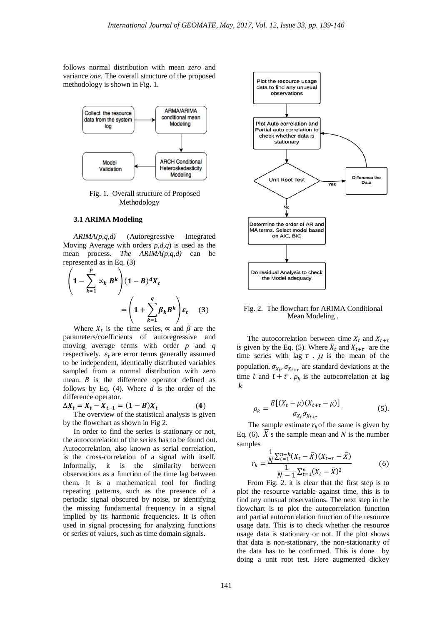follows normal distribution with mean *zero* and variance *one*. The overall structure of the proposed methodology is shown in Fig. 1.



Fig. 1. Overall structure of Proposed Methodology

#### **3.1 ARIMA Modeling**

*ARIMA(p,q,d)* (Autoregressive Integrated Moving Average with orders *p,d,q*) is used as the mean process. *The ARIMA(p,q,d)* can be represented as in Eq. (3)

$$
\left(1 - \sum_{k=1}^{p} \alpha_k B^k \right) (1 - B)^d X_t
$$

$$
= \left(1 + \sum_{k=1}^{q} \beta_k B^k \right) \varepsilon_t \quad (3)
$$

Where  $X_t$  is the time series,  $\propto$  and  $\beta$  are the parameters/coefficients of autoregressive and moving average terms with order *p* and *q* respectively.  $\varepsilon_t$  are error terms generally assumed to be independent, identically distributed variables sampled from a normal distribution with zero mean.  $B$  is the difference operator defined as follows by Eq. (4). Where *d* is the order of the difference operator.

 $\Delta X_t = X_t - X_{t-1} = (1 - B)X_t$  (4)

The overview of the statistical analysis is given by the flowchart as shown in Fig 2.

In order to find the series is stationary or not, the autocorrelation of the series has to be found out. Autocorrelation, also known as serial correlation, is the cross-correlation of a signal with itself. Informally, it is the similarity between observations as a function of the time lag between them. It is a mathematical tool for finding repeating patterns, such as the presence of a periodic signal obscured by noise, or identifying the missing fundamental frequency in a signal implied by its harmonic frequencies. It is often used in signal processing for analyzing functions or series of values, such as time domain signals.



Fig. 2. The flowchart for ARIMA Conditional Mean Modeling .

The autocorrelation between time  $X_t$  and  $X_{t+\tau}$ is given by the Eq. (5). Where  $X_t$  and  $X_{t+\tau}$  are the time series with lag  $\tau$ .  $\mu$  is the mean of the population.  $\sigma_{X_t}$ ,  $\sigma_{X_{t+\tau}}$  are standard deviations at the time *t* and  $t + \tau$ .  $\rho_k$  is the autocorrelation at lag *k*

$$
\rho_k = \frac{E[(X_t - \mu)(X_{t+\tau} - \mu)]}{\sigma_{X_t}\sigma_{X_{t+\tau}}} \tag{5}
$$

The sample estimate  $r_k$  of the same is given by Eq. (6).  $\hat{X}$  s the sample mean and  $\hat{N}$  is the number samples

$$
r_k = \frac{\frac{1}{N} \sum_{t=1}^{n-k} (X_t - \bar{X})(X_{t-\tau} - \bar{X})}{\frac{1}{N-1} \sum_{t=1}^{n} (X_t - \bar{X})^2}
$$
(6)  
From Fig. 2. it is clear that the first step is to

plot the resource variable against time, this is to find any unusual observations. The next step in the flowchart is to plot the autocorrelation function and partial autocorrelation function of the resource usage data. This is to check whether the resource usage data is stationary or not. If the plot shows that data is non-stationary, the non-stationarity of the data has to be confirmed. This is done by doing a unit root test. Here augmented dickey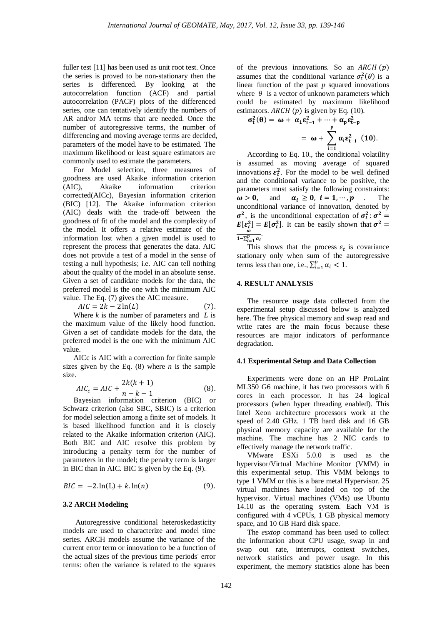fuller test [11] has been used as unit root test. Once the series is proved to be non-stationary then the series is differenced. By looking at the autocorrelation function (ACF) and partial autocorrelation (PACF) plots of the differenced series, one can tentatively identify the numbers of AR and/or MA terms that are needed. Once the number of autoregressive terms, the number of differencing and moving average terms are decided, parameters of the model have to be estimated. The maximum likelihood or least square estimators are commonly used to estimate the parameters.

For Model selection, three measures of goodness are used Akaike information criterion (AIC), Akaike information criterion corrected(AICc), Bayesian information criterion (BIC) [12]. The Akaike information criterion (AIC) deals with the trade-off between the goodness of fit of the model and the complexity of the model. It offers a relative estimate of the information lost when a given model is used to represent the process that generates the data. AIC does not provide a test of a model in the sense of testing a null hypothesis; i.e. AIC can tell nothing about the quality of the model in an absolute sense. Given a set of candidate models for the data, the preferred model is the one with the minimum AIC value. The Eq. (7) gives the AIC measure.

$$
AIC = 2k - 2\ln(L) \tag{7}
$$

Where *k* is the number of parameters and *L* is the maximum value of the likely hood function. Given a set of candidate models for the data, the preferred model is the one with the minimum AIC value.

AICc is AIC with a correction for finite sample sizes given by the Eq.  $(8)$  where *n* is the sample size.

$$
AIC_c = AIC + \frac{2k(k+1)}{n-k-1}
$$
 (8).  
Bayesian information criterion (BIC) or

Schwarz criterion (also SBC, SBIC) is a criterion for model selection among a finite set of models. It is based likelihood function and it is closely related to the Akaike information criterion (AIC). Both BIC and AIC resolve this problem by introducing a penalty term for the number of parameters in the model; the penalty term is larger in BIC than in AIC. BIC is given by the Eq. (9).

$$
BIC = -2 \ln(L) + k \ln(n) \tag{9}
$$

### **3.2 ARCH Modeling**

Autoregressive conditional heteroskedasticity models are used to characterize and model time series. ARCH models assume the variance of the current error term or innovation to be a function of the actual sizes of the previous time periods' error terms: often the variance is related to the squares

of the previous innovations. So an  $ARCH(p)$ assumes that the conditional variance  $\sigma_t^2(\theta)$  is a linear function of the past *p* squared innovations where  $\theta$  is a vector of unknown parameters which could be estimated by maximum likelihood estimators.  $ARCH(p)$  is given by Eq. (10).

$$
\sigma_f^2(\theta) = \omega + \alpha_1 \epsilon_{t-1}^2 + \dots + \alpha_p \epsilon_{t-p}^2
$$

$$
= \omega + \sum_{i=1}^p \alpha_i \epsilon_{t-i}^2 (10).
$$

According to Eq. 10., the conditional volatility is assumed as moving average of squared innovations  $\varepsilon_t^2$ . For the model to be well defined and the conditional variance to be positive, the parameters must satisfy the following constraints:  $\omega > 0$ , and  $\alpha_i \geq 0$ ,  $i = 1, \dots, p$  . The unconditional variance of innovation, denoted by  $\sigma^2$ , is the unconditional expectation of  $\sigma_t^2$ :  $\sigma^2$  =  $E[\epsilon_t^2] = E[\sigma_t^2]$ . It can be easily shown that  $\sigma^2 =$  $\overline{1-\sum_{i=1}^p \alpha_i}$ 

This shows that the process  $\varepsilon_t$  is covariance stationary only when sum of the autoregressive terms less than one, i.e.,  $\sum_{i=1}^{p} \alpha_i < 1$ .

### **4. RESULT ANALYSIS**

The resource usage data collected from the experimental setup discussed below is analyzed here. The free physical memory and swap read and write rates are the main focus because these resources are major indicators of performance degradation.

#### **4.1 Experimental Setup and Data Collection**

Experiments were done on an HP ProLaint ML350 G6 machine, it has two processors with 6 cores in each processor. It has 24 logical processors (when hyper threading enabled). This Intel Xeon architecture processors work at the speed of 2.40 GHz. 1 TB hard disk and 16 GB physical memory capacity are available for the machine. The machine has 2 NIC cards to effectively manage the network traffic.

VMware ESXi 5.0.0 is used as the hypervisor/Virtual Machine Monitor (VMM) in this experimental setup. This VMM belongs to type 1 VMM or this is a bare metal Hypervisor. 25 virtual machines have loaded on top of the hypervisor. Virtual machines (VMs) use Ubuntu 14.10 as the operating system. Each VM is configured with 4 vCPUs, 1 GB physical memory space, and 10 GB Hard disk space.

The *esxtop* command has been used to collect the information about CPU usage, swap in and swap out rate, interrupts, context switches, network statistics and power usage. In this experiment, the memory statistics alone has been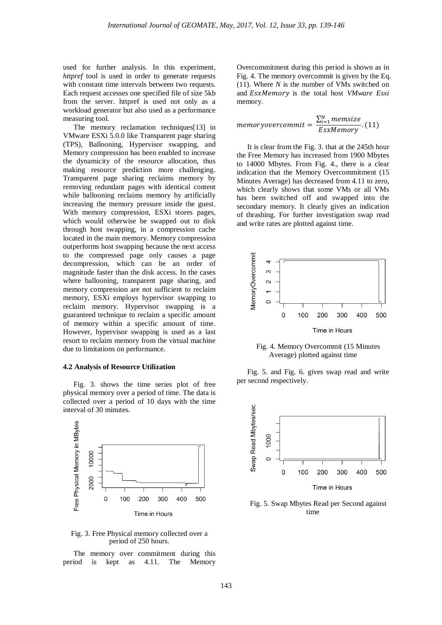used for further analysis. In this experiment, *httpref* tool is used in order to generate requests with constant time intervals between two requests. Each request accesses one specified file of size 5kb from the server. httpref is used not only as a workload generator but also used as a performance measuring tool.

The memory reclamation techniques[13] in VMware ESXi 5.0.0 like Transparent page sharing (TPS), Ballooning, Hypervisor swapping, and Memory compression has been enabled to increase the dynamicity of the resource allocation, thus making resource prediction more challenging. Transparent page sharing reclaims memory by removing redundant pages with identical content while ballooning reclaims memory by artificially increasing the memory pressure inside the guest. With memory compression, ESXi stores pages, which would otherwise be swapped out to disk through host swapping, in a compression cache located in the main memory. Memory compression outperforms host swapping because the next access to the compressed page only causes a page decompression, which can be an order of magnitude faster than the disk access. In the cases where ballooning, transparent page sharing, and memory compression are not sufficient to reclaim memory, ESXi employs hypervisor swapping to reclaim memory. Hypervisor swapping is a guaranteed technique to reclaim a specific amount of memory within a specific amount of time. However, hypervisor swapping is used as a last resort to reclaim memory from the virtual machine due to limitations on performance.

#### **4.2 Analysis of Resource Utilization**

Fig. 3. shows the time series plot of free physical memory over a period of time. The data is collected over a period of 10 days with the time interval of 30 minutes.



Fig. 3. Free Physical memory collected over a period of 250 hours.

The memory over commitment during this period is kept as 4.11. The Memory

Overcommitment during this period is shown as in Fig. 4. The memory overcommit is given by the Eq. (11). Where *N* is the number of VMs switched on and **EsxMemory** is the total host *VMware Esxi* memory.

$$
memory overcommit = \frac{\sum_{i=1}^{N} \text{memsize}}{\text{ExMemory}}.(11)
$$

It is clear from the Fig. 3. that at the 245th hour the Free Memory has increased from 1900 Mbytes to 14000 Mbytes. From Fig. 4., there is a clear indication that the Memory Overcommitment (15 Minutes Average) has decreased from 4.11 to zero, which clearly shows that some VMs or all VMs has been switched off and swapped into the secondary memory. It clearly gives an indication of thrashing. For further investigation swap read and write rates are plotted against time.



Fig. 4. Memory Overcommit (15 Minutes Average) plotted against time

Fig. 5. and Fig. 6. gives swap read and write per second respectively.



Fig. 5. Swap Mbytes Read per Second against time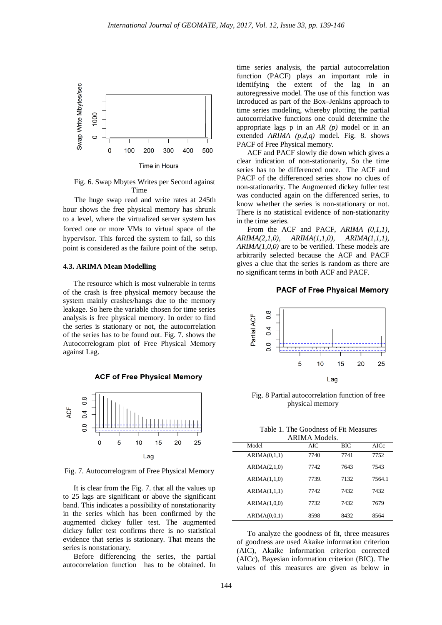

Fig. 6. Swap Mbytes Writes per Second against Time

The huge swap read and write rates at 245th hour shows the free physical memory has shrunk to a level, where the virtualized server system has forced one or more VMs to virtual space of the hypervisor. This forced the system to fail, so this point is considered as the failure point of the setup.

#### **4.3. ARIMA Mean Modelling**

The resource which is most vulnerable in terms of the crash is free physical memory because the system mainly crashes/hangs due to the memory leakage. So here the variable chosen for time series analysis is free physical memory. In order to find the series is stationary or not, the autocorrelation of the series has to be found out. Fig. 7. shows the Autocorrelogram plot of Free Physical Memory against Lag.





Fig. 7. Autocorrelogram of Free Physical Memory

It is clear from the Fig. 7. that all the values up to 25 lags are significant or above the significant band. This indicates a possibility of nonstationarity in the series which has been confirmed by the augmented dickey fuller test. The augmented dickey fuller test confirms there is no statistical evidence that series is stationary. That means the series is nonstationary.

Before differencing the series, the partial autocorrelation function has to be obtained. In time series analysis, the partial autocorrelation function (PACF) plays an important role in identifying the extent of the lag in an autoregressive model. The use of this function was introduced as part of the Box–Jenkins approach to time series modeling, whereby plotting the partial autocorrelative functions one could determine the appropriate lags p in an *AR (p)* model or in an extended *ARIMA (p,d,q)* model. Fig. 8. shows PACF of Free Physical memory.

ACF and PACF slowly die down which gives a clear indication of non-stationarity, So the time series has to be differenced once. The ACF and PACF of the differenced series show no clues of non-stationarity. The Augmented dickey fuller test was conducted again on the differenced series, to know whether the series is non-stationary or not. There is no statistical evidence of non-stationarity in the time series.

From the ACF and PACF, *ARIMA* (0,1,1), *ARIMA(2,1,0), ARIMA(1,1,0), ARIMA(1,1,1), ARIMA(1,0,0)* are to be verified. These models are arbitrarily selected because the ACF and PACF gives a clue that the series is random as there are no significant terms in both ACF and PACF.

### **PACF of Free Physical Memory**



Fig. 8 Partial autocorrelation function of free physical memory

Table 1. The Goodness of Fit Measures

| <b>ARIMA</b> Models. |              |       |      |        |  |  |
|----------------------|--------------|-------|------|--------|--|--|
| Model                |              | AIC   | BIC  | AICc   |  |  |
|                      | ARIMA(0,1,1) | 7740  | 7741 | 7752   |  |  |
|                      | ARIMA(2,1,0) | 7742  | 7643 | 7543   |  |  |
|                      | ARIMA(1,1,0) | 7739. | 7132 | 7564.1 |  |  |
|                      | ARIMA(1,1,1) | 7742  | 7432 | 7432   |  |  |
|                      | ARIMA(1,0,0) | 7732  | 7432 | 7679   |  |  |
|                      | ARIMA(0,0,1) | 8598  | 8432 | 8564   |  |  |

To analyze the goodness of fit, three measures of goodness are used Akaike information criterion (AIC), Akaike information criterion corrected (AICc), Bayesian information criterion (BIC). The values of this measures are given as below in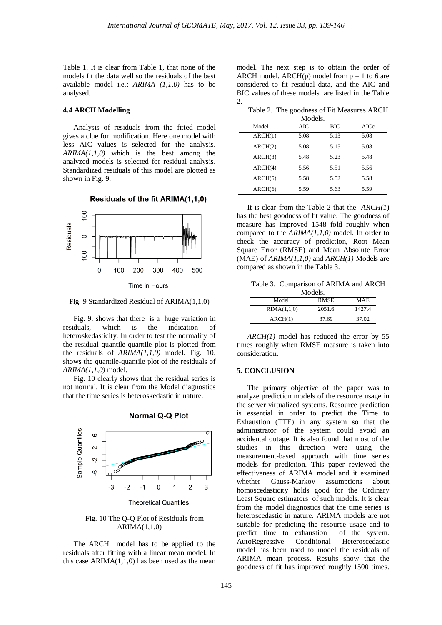Table 1. It is clear from Table 1, that none of the models fit the data well so the residuals of the best available model i.e.; *ARIMA (1,1,0)* has to be analysed*.*

#### **4.4 ARCH Modelling**

Analysis of residuals from the fitted model gives a clue for modification. Here one model with less AIC values is selected for the analysis. *ARIMA(1,1,0)* which is the best among the analyzed models is selected for residual analysis. Standardized residuals of this model are plotted as shown in Fig. 9.

Residuals of the fit ARIMA(1,1,0)



Time in Hours

Fig. 9 Standardized Residual of ARIMA(1,1,0)

Fig. 9. shows that there is a huge variation in residuals, which is the indication of heteroskedasticity. In order to test the normality of the residual quantile-quantile plot is plotted from the residuals of *ARIMA(1,1,0)* model. Fig. 10. shows the quantile-quantile plot of the residuals of *ARIMA(1,1,0)* model.

Fig. 10 clearly shows that the residual series is not normal. It is clear from the Model diagnostics that the time series is heteroskedastic in nature.



### **Normal Q-Q Plot**

Fig. 10 The Q-Q Plot of Residuals from ARIMA(1,1,0)

The ARCH model has to be applied to the residuals after fitting with a linear mean model. In this case  $ARIMA(1,1,0)$  has been used as the mean model. The next step is to obtain the order of ARCH model. ARCH(p) model from  $p = 1$  to 6 are considered to fit residual data, and the AIC and BIC values of these models are listed in the Table 2.

Table 2. The goodness of Fit Measures ARCH

|         | Models. |            |      |
|---------|---------|------------|------|
| Model   | AIC     | <b>BIC</b> | AICc |
| ARCH(1) | 5.08    | 5.13       | 5.08 |
| ARCH(2) | 5.08    | 5.15       | 5.08 |
| ARCH(3) | 5.48    | 5.23       | 5.48 |
| ARCH(4) | 5.56    | 5.51       | 5.56 |
| ARCH(5) | 5.58    | 5.52       | 5.58 |
| ARCH(6) | 5.59    | 5.63       | 5.59 |

It is clear from the Table 2 that the *ARCH(1*) has the best goodness of fit value. The goodness of measure has improved 1548 fold roughly when compared to the *ARIMA(1,1,0)* model. In order to check the accuracy of prediction, Root Mean Square Error (RMSE) and Mean Absolute Error (MAE) of *ARIMA(1,1,0)* and *ARCH(1)* Models are compared as shown in the Table 3.

Table 3. Comparison of ARIMA and ARCH

| Models.     |             |        |  |  |  |  |
|-------------|-------------|--------|--|--|--|--|
| Model       | <b>RMSE</b> | MAE.   |  |  |  |  |
| RIMA(1,1,0) | 2051.6      | 1427.4 |  |  |  |  |
| ARCH(1)     | 37.69       | 37.02  |  |  |  |  |

*ARCH(1)* model has reduced the error by 55 times roughly when RMSE measure is taken into consideration.

### **5. CONCLUSION**

The primary objective of the paper was to analyze prediction models of the resource usage in the server virtualized systems. Resource prediction is essential in order to predict the Time to Exhaustion (TTE) in any system so that the administrator of the system could avoid an accidental outage. It is also found that most of the studies in this direction were using the measurement-based approach with time series models for prediction. This paper reviewed the effectiveness of ARIMA model and it examined whether Gauss-Markov assumptions about homoscedasticity holds good for the Ordinary Least Square estimators of such models. It is clear from the model diagnostics that the time series is heteroscedastic in nature. ARIMA models are not suitable for predicting the resource usage and to predict time to exhaustion of the system. AutoRegressive Conditional Heteroscedastic model has been used to model the residuals of ARIMA mean process. Results show that the goodness of fit has improved roughly 1500 times.